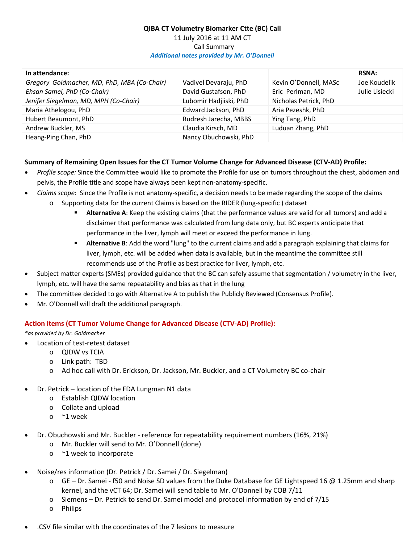## **QIBA CT Volumetry Biomarker Ctte (BC) Call** 11 July 2016 at 11 AM CT Call Summary *Additional notes provided by Mr. O'Donnell*

| In attendance:                              |                        |                       | <b>RSNA:</b>   |
|---------------------------------------------|------------------------|-----------------------|----------------|
| Gregory Goldmacher, MD, PhD, MBA (Co-Chair) | Vadivel Devaraju, PhD  | Kevin O'Donnell, MASc | Joe Koudelik   |
| Ehsan Samei, PhD (Co-Chair)                 | David Gustafson, PhD   | Eric Perlman, MD      | Julie Lisiecki |
| Jenifer Siegelman, MD, MPH (Co-Chair)       | Lubomir Hadjiiski, PhD | Nicholas Petrick, PhD |                |
| Maria Athelogou, PhD                        | Edward Jackson, PhD    | Aria Pezeshk, PhD     |                |
| Hubert Beaumont, PhD                        | Rudresh Jarecha, MBBS  | Ying Tang, PhD        |                |
| Andrew Buckler, MS                          | Claudia Kirsch, MD     | Luduan Zhang, PhD     |                |
| Heang-Ping Chan, PhD                        | Nancy Obuchowski, PhD  |                       |                |

## **Summary of Remaining Open Issues for the CT Tumor Volume Change for Advanced Disease (CTV-AD) Profile:**

- · *Profile scope:* Since the Committee would like to promote the Profile for use on tumors throughout the chest, abdomen and pelvis, the Profile title and scope have always been kept non-anatomy-specific.
- · *Claims scope*: Since the Profile is not anatomy-specific, a decision needs to be made regarding the scope of the claims o Supporting data for the current Claims is based on the RIDER (lung-specific ) dataset
	- **Alternative A**: Keep the existing claims (that the performance values are valid for all tumors) and add a disclaimer that performance was calculated from lung data only, but BC experts anticipate that performance in the liver, lymph will meet or exceed the performance in lung.
	- **Alternative B**: Add the word "lung" to the current claims and add a paragraph explaining that claims for liver, lymph, etc. will be added when data is available, but in the meantime the committee still recommends use of the Profile as best practice for liver, lymph, etc.
- · Subject matter experts (SMEs) provided guidance that the BC can safely assume that segmentation / volumetry in the liver, lymph, etc. will have the same repeatability and bias as that in the lung
- · The committee decided to go with Alternative A to publish the Publicly Reviewed (Consensus Profile).
- Mr. O'Donnell will draft the additional paragraph.

## **Action items (CT Tumor Volume Change for Advanced Disease (CTV-AD) Profile):**

*\*as provided by Dr. Goldmacher*

- · Location of test-retest dataset
	- o QIDW vs TCIA
	- o Link path: TBD
	- o Ad hoc call with Dr. Erickson, Dr. Jackson, Mr. Buckler, and a CT Volumetry BC co-chair
- Dr. Petrick location of the FDA Lungman N1 data
	- o Establish QIDW location
	- o Collate and upload
	- o ~1 week
- · Dr. Obuchowski and Mr. Buckler reference for repeatability requirement numbers (16%, 21%)
	- o Mr. Buckler will send to Mr. O'Donnell (done)
	- o ~1 week to incorporate
- · Noise/res information (Dr. Petrick / Dr. Samei / Dr. Siegelman)
	- $\circ$  GE Dr. Samei f50 and Noise SD values from the Duke Database for GE Lightspeed 16 @ 1.25mm and sharp kernel, and the vCT 64; Dr. Samei will send table to Mr. O'Donnell by COB 7/11
	- o Siemens Dr. Petrick to send Dr. Samei model and protocol information by end of 7/15
	- o Philips
- · .CSV file similar with the coordinates of the 7 lesions to measure